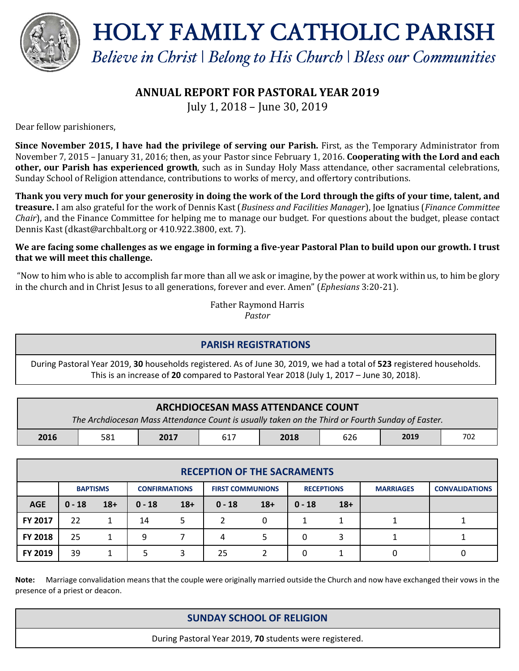

HOLY FAMILY CATHOLIC PARISH

*Believe in Christ* | *Belong to His Church* | *Bless our Communities*

# **ANNUAL REPORT FOR PASTORAL YEAR 2019**

July 1, 2018 – June 30, 2019

Dear fellow parishioners,

**Since November 2015, I have had the privilege of serving our Parish.** First, as the Temporary Administrator from November 7, 2015 – January 31, 2016; then, as your Pastor since February 1, 2016. **Cooperating with the Lord and each other, our Parish has experienced growth**, such as in Sunday Holy Mass attendance, other sacramental celebrations, Sunday School of Religion attendance, contributions to works of mercy, and offertory contributions.

**Thank you very much for your generosity in doing the work of the Lord through the gifts of your time, talent, and treasure.** I am also grateful for the work of Dennis Kast (*Business and Facilities Manager*), Joe Ignatius (*Finance Committee Chair*), and the Finance Committee for helping me to manage our budget. For questions about the budget, please contact Dennis Kast (dkast@archbalt.org or 410.922.3800, ext. 7).

#### **We are facing some challenges as we engage in forming a five-year Pastoral Plan to build upon our growth. I trust that we will meet this challenge.**

"Now to him who is able to accomplish far more than all we ask or imagine, by the power at work within us, to him be glory in the church and in Christ Jesus to all generations, forever and ever. Amen" (*Ephesians* 3:20-21).

> Father Raymond Harris *Pastor*

### **PARISH REGISTRATIONS**

During Pastoral Year 2019, **30** households registered. As of June 30, 2019, we had a total of **523** registered households. This is an increase of **20** compared to Pastoral Year 2018 (July 1, 2017 – June 30, 2018).

| <b>ARCHDIOCESAN MASS ATTENDANCE COUNT</b><br>The Archdiocesan Mass Attendance Count is usually taken on the Third or Fourth Sunday of Easter. |     |      |     |      |     |      |     |  |
|-----------------------------------------------------------------------------------------------------------------------------------------------|-----|------|-----|------|-----|------|-----|--|
| 2016                                                                                                                                          | 581 | 2017 | 617 | 2018 | 626 | 2019 | 702 |  |

| <b>RECEPTION OF THE SACRAMENTS</b> |                 |       |                      |       |                         |       |                   |       |                  |                       |
|------------------------------------|-----------------|-------|----------------------|-------|-------------------------|-------|-------------------|-------|------------------|-----------------------|
|                                    | <b>BAPTISMS</b> |       | <b>CONFIRMATIONS</b> |       | <b>FIRST COMMUNIONS</b> |       | <b>RECEPTIONS</b> |       | <b>MARRIAGES</b> | <b>CONVALIDATIONS</b> |
| <b>AGE</b>                         | $0 - 18$        | $18+$ | $0 - 18$             | $18+$ | $0 - 18$                | $18+$ | $0 - 18$          | $18+$ |                  |                       |
| FY 2017                            | 22              |       | 14                   | 5.    |                         | 0     |                   |       |                  |                       |
| <b>FY 2018</b>                     | 25              |       | 9                    |       | 4                       |       | 0                 |       |                  |                       |
| FY 2019                            | 39              |       |                      |       | 25                      |       | 0                 |       |                  |                       |

**Note:** Marriage convalidation means that the couple were originally married outside the Church and now have exchanged their vows in the presence of a priest or deacon.

## **SUNDAY SCHOOL OF RELIGION**

During Pastoral Year 2019, **70** students were registered.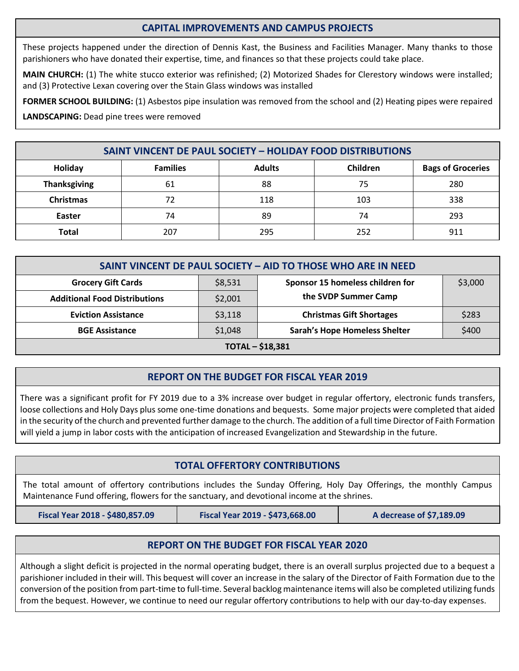### **CAPITAL IMPROVEMENTS AND CAMPUS PROJECTS**

These projects happened under the direction of Dennis Kast, the Business and Facilities Manager. Many thanks to those parishioners who have donated their expertise, time, and finances so that these projects could take place.

**MAIN CHURCH:** (1) The white stucco exterior was refinished; (2) Motorized Shades for Clerestory windows were installed; and (3) Protective Lexan covering over the Stain Glass windows was installed

**FORMER SCHOOL BUILDING:** (1) Asbestos pipe insulation was removed from the school and (2) Heating pipes were repaired

**LANDSCAPING:** Dead pine trees were removed

| <b>SAINT VINCENT DE PAUL SOCIETY - HOLIDAY FOOD DISTRIBUTIONS</b> |                 |               |          |                          |  |  |
|-------------------------------------------------------------------|-----------------|---------------|----------|--------------------------|--|--|
| Holiday                                                           | <b>Families</b> | <b>Adults</b> | Children | <b>Bags of Groceries</b> |  |  |
| <b>Thanksgiving</b>                                               | 61              | 88            | 75       | 280                      |  |  |
| <b>Christmas</b>                                                  | 72              | 118           | 103      | 338                      |  |  |
| Easter                                                            | 74              | 89            | 74       | 293                      |  |  |
| <b>Total</b>                                                      | 207             | 295           | 252      | 911                      |  |  |

| SAINT VINCENT DE PAUL SOCIETY - AID TO THOSE WHO ARE IN NEED |         |                                      |         |  |  |  |
|--------------------------------------------------------------|---------|--------------------------------------|---------|--|--|--|
| <b>Grocery Gift Cards</b>                                    | \$8,531 | Sponsor 15 homeless children for     | \$3,000 |  |  |  |
| <b>Additional Food Distributions</b>                         | \$2,001 | the SVDP Summer Camp                 |         |  |  |  |
| <b>Eviction Assistance</b>                                   | \$3,118 | <b>Christmas Gift Shortages</b>      | \$283   |  |  |  |
| <b>BGE Assistance</b>                                        | \$1,048 | <b>Sarah's Hope Homeless Shelter</b> | \$400   |  |  |  |
| <b>TOTAL - \$18,381</b>                                      |         |                                      |         |  |  |  |

### **REPORT ON THE BUDGET FOR FISCAL YEAR 2019**

There was a significant profit for FY 2019 due to a 3% increase over budget in regular offertory, electronic funds transfers, loose collections and Holy Days plus some one-time donations and bequests. Some major projects were completed that aided in the security of the church and prevented further damage to the church. The addition of a full time Director of Faith Formation will yield a jump in labor costs with the anticipation of increased Evangelization and Stewardship in the future.

#### **TOTAL OFFERTORY CONTRIBUTIONS**

The total amount of offertory contributions includes the Sunday Offering, Holy Day Offerings, the monthly Campus Maintenance Fund offering, flowers for the sanctuary, and devotional income at the shrines.

**Fiscal Year 2018 - \$480,857.09 Fiscal Year 2019 - \$473,668.00 A decrease of \$7,189.09**

#### **REPORT ON THE BUDGET FOR FISCAL YEAR 2020**

Although a slight deficit is projected in the normal operating budget, there is an overall surplus projected due to a bequest a parishioner included in their will. This bequest will cover an increase in the salary of the Director of Faith Formation due to the conversion of the position from part-time to full-time. Several backlog maintenance items will also be completed utilizing funds from the bequest. However, we continue to need our regular offertory contributions to help with our day-to-day expenses.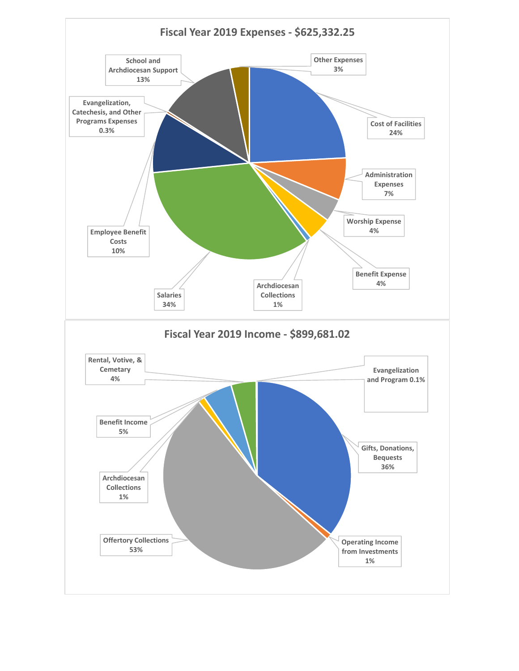